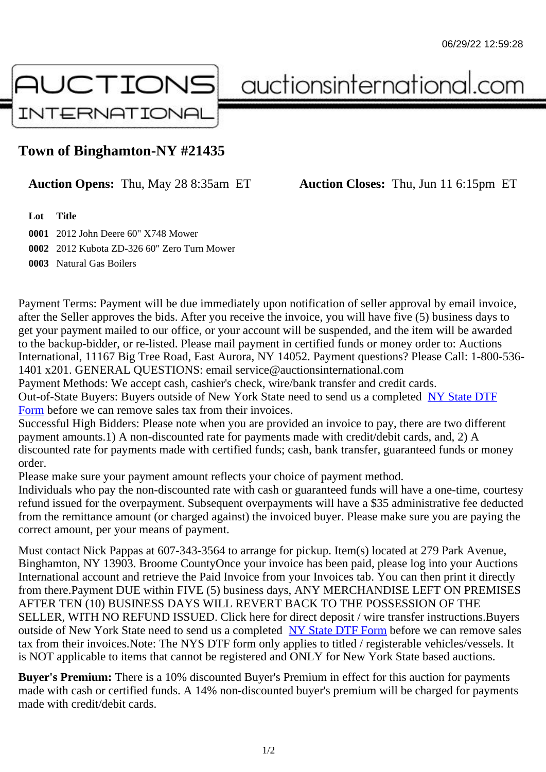## Town of Binghamton-NY #21435

## Auction Opens: Thu, May 28 8:35am ET Auction Closes: Thu, Jun 11 6:15pm ET

Lot Title

0001 2012 John Deere 60" X748 Mower 0002 2012 Kubota ZD-326 60" Zero Turn Mower 0003 Natural Gas Boilers

Payment Terms: Payment will be due immediately upon notification of seller approval by email invoice, after the Seller approves the bids. After you receive the invoice, you will have five (5) business days to get your payment mailed to our office, or your account will be suspended, and the item will be awarded to the backup-bidder, or re-listed. Please mail payment in certified funds or money order to: Auctions International, 11167 Big Tree Road, East Aurora, NY 14052. Payment questions? Please Call: 1-800-53 1401 x201. GENERAL QUESTIONS: email service@auctionsinternational.com

Payment Methods: We accept cash, cashier's check, wire/bank transfer and credit cards. Out-of-State Buyers: Buyers outside of New York State need to send us a com blestate DTF Form before we can remove sales tax from their invoices.

Successful High Bidders: Please note when you are provided an invoice to pay, there are two different payment amounts.1) A non-discounted rate for payments made with credit/de[bit cards, and](https://www.auctionsinternational.com/auxiliary/downloads/DTF_Form/dtf_fill_in.pdf), 2) A [disco](https://www.auctionsinternational.com/auxiliary/downloads/DTF_Form/dtf_fill_in.pdf)unted rate for payments made with certified funds; cash, bank transfer, quaranteed funds or mone order.

Please make sure your payment amount reflects your choice of payment method.

Individuals who pay the non-discounted rate with cash or quaranteed funds will have a one-time, courte refund issued for the overpayment. Subsequent overpayments will have a \$35 administrative fee deduc from the remittance amount (or charged against) the invoiced buyer. Please make sure you are paying correct amount, per your means of payment.

Must contact Nick Pappas at 607-343-3564 to arrange for pickup. Item(s) located at 279 Park Avenue, Binghamton, NY 13903. Broome CountyOnce your invoice has been paid, please log into your Auctions International account and retrieve the Paid Invoice from your Invoices tab. You can then print it directly from there.Payment DUE within FIVE (5) business days, ANY MERCHANDISE LEFT ON PREMISES AFTER TEN (10) BUSINESS DAYS WILL REVERT BACK TO THE POSSESSION OF THE SELLER, WITH NO REFUND ISSUED. Click here for direct deposit / wire transfer instructions.Buyers outside of New York State need to send us a complete **State DTF Form before we can remove sales** tax from their invoices.Note: The NYS DTF form only applies to titled / registerable vehicles/vessels. It is NOT applicable to items that cannot be registered and ONLY for New York State based auctions.

Buyer's Premium: There is a 10% discounted Buye[r's Premium in effec](https://www.auctionsinternational.com/auxiliary/downloads/DTF_Form/dtf_fill_in.pdf)t for this auction for payments made with cash or certified funds. A 14% non-discounted buyer's premium will be charged for payments made with credit/debit cards.